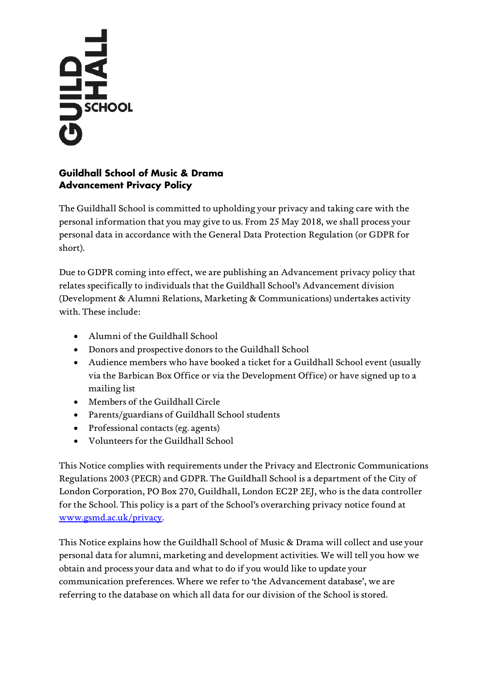# **SCHOOL**

# **Guildhall School of Music & Drama Advancement Privacy Policy**

The Guildhall School is committed to upholding your privacy and taking care with the personal information that you may give to us. From 25 May 2018, we shall process your personal data in accordance with the General Data Protection Regulation (or GDPR for short).

Due to GDPR coming into effect, we are publishing an Advancement privacy policy that relates specifically to individuals that the Guildhall School's Advancement division (Development & Alumni Relations, Marketing & Communications) undertakes activity with. These include:

- Alumni of the Guildhall School
- Donors and prospective donors to the Guildhall School
- Audience members who have booked a ticket for a Guildhall School event (usually via the Barbican Box Office or via the Development Office) or have signed up to a mailing list
- Members of the Guildhall Circle
- Parents/guardians of Guildhall School students
- Professional contacts (eg. agents)
- Volunteers for the Guildhall School

This Notice complies with requirements under the Privacy and Electronic Communications Regulations 2003 (PECR) and GDPR. The Guildhall School is a department of the City of London Corporation, PO Box 270, Guildhall, London EC2P 2EJ, who is the data controller for the School. This policy is a part of the School's overarching privacy notice found at [www.gsmd.ac.uk/privacy.](https://www.gsmd.ac.uk/privacy)

This Notice explains how the Guildhall School of Music & Drama will collect and use your personal data for alumni, marketing and development activities. We will tell you how we obtain and process your data and what to do if you would like to update your communication preferences. Where we refer to 'the Advancement database', we are referring to the database on which all data for our division of the School is stored.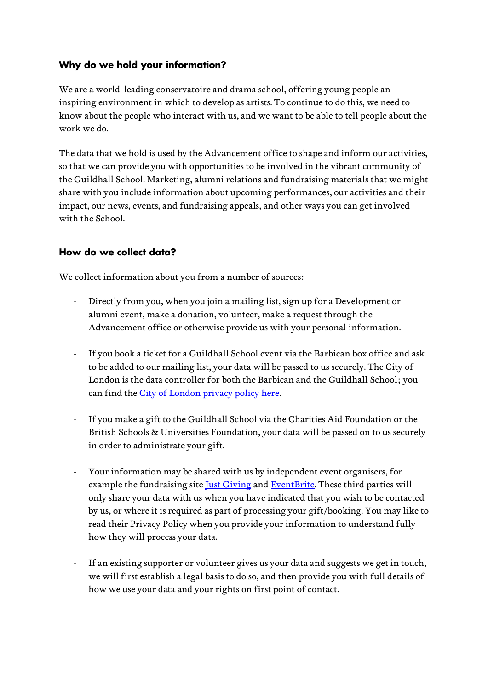# **Why do we hold your information?**

We are a world-leading conservatoire and drama school, offering young people an inspiring environment in which to develop as artists. To continue to do this, we need to know about the people who interact with us, and we want to be able to tell people about the work we do.

The data that we hold is used by the Advancement office to shape and inform our activities, so that we can provide you with opportunities to be involved in the vibrant community of the Guildhall School. Marketing, alumni relations and fundraising materials that we might share with you include information about upcoming performances, our activities and their impact, our news, events, and fundraising appeals, and other ways you can get involved with the School.

## **How do we collect data?**

We collect information about you from a number of sources:

- Directly from you, when you join a mailing list, sign up for a Development or alumni event, make a donation, volunteer, make a request through the Advancement office or otherwise provide us with your personal information.
- If you book a ticket for a Guildhall School event via the Barbican box office and ask to be added to our mailing list, your data will be passed to us securely. The City of London is the data controller for both the Barbican and the Guildhall School; you can find the [City of London privacy policy here.](http://www.cityoflondon.gov.uk/privacy)
- If you make a gift to the Guildhall School via the Charities Aid Foundation or the British Schools & Universities Foundation, your data will be passed on to us securely in order to administrate your gift.
- Your information may be shared with us by independent event organisers, for example the fundraising site *Just Giving* and *EventBrite*. These third parties will only share your data with us when you have indicated that you wish to be contacted by us, or where it is required as part of processing your gift/booking. You may like to read their Privacy Policy when you provide your information to understand fully how they will process your data.
- If an existing supporter or volunteer gives us your data and suggests we get in touch, we will first establish a legal basis to do so, and then provide you with full details of how we use your data and your rights on first point of contact.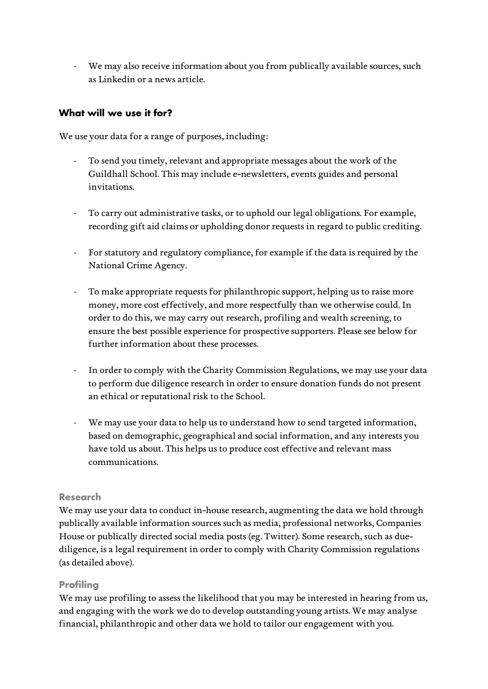- We may also receive information about you from publically available sources, such as Linkedin or a news article.

## **What will we use it for?**

We use your data for a range of purposes, including:

- To send you timely, relevant and appropriate messages about the work of the Guildhall School. This may include e-newsletters, events guides and personal invitations.
- To carry out administrative tasks, or to uphold our legal obligations. For example, recording gift aid claims or upholding donor requests in regard to public crediting.
- For statutory and regulatory compliance, for example if the data is required by the National Crime Agency.
- To make appropriate requests for philanthropic support, helping us to raise more money, more cost effectively, and more respectfully than we otherwise could. In order to do this, we may carry out research, profiling and wealth screening, to ensure the best possible experience for prospective supporters. Please see below for further information about these processes.
- In order to comply with the Charity Commission Regulations, we may use your data to perform due diligence research in order to ensure donation funds do not present an ethical or reputational risk to the School.
- We may use your data to help us to understand how to send targeted information, based on demographic, geographical and social information, and any interests you have told us about. This helps us to produce cost effective and relevant mass communications.

## **Research**

We may use your data to conduct in-house research, augmenting the data we hold through publically available information sources such as media, professional networks, Companies House or publically directed social media posts (eg. Twitter). Some research, such as duediligence, is a legal requirement in order to comply with Charity Commission regulations (as detailed above).

## **Profiling**

We may use profiling to assess the likelihood that you may be interested in hearing from us, and engaging with the work we do to develop outstanding young artists. We may analyse financial, philanthropic and other data we hold to tailor our engagement with you.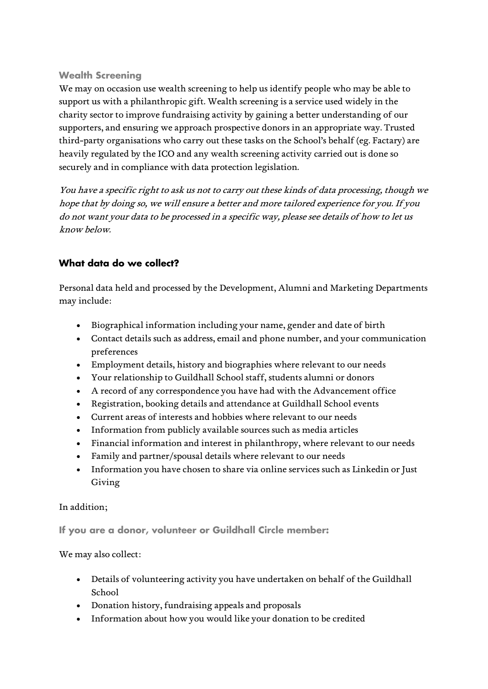### **Wealth Screening**

We may on occasion use wealth screening to help us identify people who may be able to support us with a philanthropic gift. Wealth screening is a service used widely in the charity sector to improve fundraising activity by gaining a better understanding of our supporters, and ensuring we approach prospective donors in an appropriate way. Trusted third-party organisations who carry out these tasks on the School's behalf (eg. Factary) are heavily regulated by the ICO and any wealth screening activity carried out is done so securely and in compliance with data protection legislation.

You have a specific right to ask us not to carry out these kinds of data processing, though we hope that by doing so, we will ensure a better and more tailored experience for you. If you do not want your data to be processed in a specific way, please see details of how to let us know below.

## **What data do we collect?**

Personal data held and processed by the Development, Alumni and Marketing Departments may include:

- Biographical information including your name, gender and date of birth
- Contact details such as address, email and phone number, and your communication preferences
- Employment details, history and biographies where relevant to our needs
- Your relationship to Guildhall School staff, students alumni or donors
- A record of any correspondence you have had with the Advancement office
- Registration, booking details and attendance at Guildhall School events
- Current areas of interests and hobbies where relevant to our needs
- Information from publicly available sources such as media articles
- Financial information and interest in philanthropy, where relevant to our needs
- Family and partner/spousal details where relevant to our needs
- Information you have chosen to share via online services such as Linkedin or Just Giving

In addition;

**If you are a donor, volunteer or Guildhall Circle member:**

We may also collect:

- Details of volunteering activity you have undertaken on behalf of the Guildhall School
- Donation history, fundraising appeals and proposals
- Information about how you would like your donation to be credited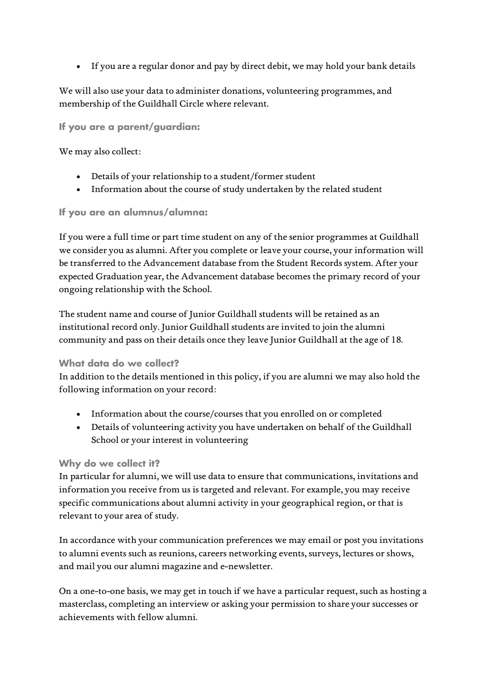• If you are a regular donor and pay by direct debit, we may hold your bank details

We will also use your data to administer donations, volunteering programmes, and membership of the Guildhall Circle where relevant.

**If you are a parent/guardian:**

We may also collect:

- Details of your relationship to a student/former student
- Information about the course of study undertaken by the related student

**If you are an alumnus/alumna:** 

If you were a full time or part time student on any of the senior programmes at Guildhall we consider you as alumni. After you complete or leave your course, your information will be transferred to the Advancement database from the Student Records system. After your expected Graduation year, the Advancement database becomes the primary record of your ongoing relationship with the School.

The student name and course of Junior Guildhall students will be retained as an institutional record only. Junior Guildhall students are invited to join the alumni community and pass on their details once they leave Junior Guildhall at the age of 18.

#### **What data do we collect?**

In addition to the details mentioned in this policy, if you are alumni we may also hold the following information on your record:

- Information about the course/courses that you enrolled on or completed
- Details of volunteering activity you have undertaken on behalf of the Guildhall School or your interest in volunteering

## **Why do we collect it?**

In particular for alumni, we will use data to ensure that communications, invitations and information you receive from us is targeted and relevant. For example, you may receive specific communications about alumni activity in your geographical region, or that is relevant to your area of study.

In accordance with your communication preferences we may email or post you invitations to alumni events such as reunions, careers networking events, surveys, lectures or shows, and mail you our alumni magazine and e-newsletter.

On a one-to-one basis, we may get in touch if we have a particular request, such as hosting a masterclass, completing an interview or asking your permission to share your successes or achievements with fellow alumni.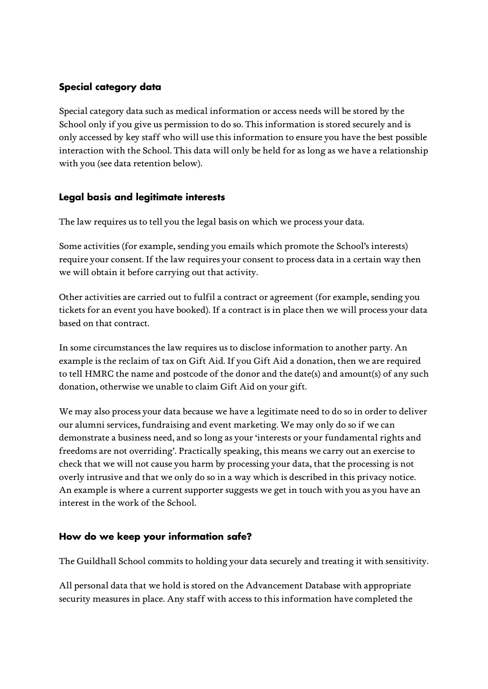# **Special category data**

Special category data such as medical information or access needs will be stored by the School only if you give us permission to do so. This information is stored securely and is only accessed by key staff who will use this information to ensure you have the best possible interaction with the School. This data will only be held for as long as we have a relationship with you (see data retention below).

# **Legal basis and legitimate interests**

The law requires us to tell you the legal basis on which we process your data.

Some activities (for example, sending you emails which promote the School's interests) require your consent. If the law requires your consent to process data in a certain way then we will obtain it before carrying out that activity.

Other activities are carried out to fulfil a contract or agreement (for example, sending you tickets for an event you have booked). If a contract is in place then we will process your data based on that contract.

In some circumstances the law requires us to disclose information to another party. An example is the reclaim of tax on Gift Aid. If you Gift Aid a donation, then we are required to tell HMRC the name and postcode of the donor and the date(s) and amount(s) of any such donation, otherwise we unable to claim Gift Aid on your gift.

We may also process your data because we have a legitimate need to do so in order to deliver our alumni services, fundraising and event marketing. We may only do so if we can demonstrate a business need, and so long as your 'interests or your fundamental rights and freedoms are not overriding'. Practically speaking, this means we carry out an exercise to check that we will not cause you harm by processing your data, that the processing is not overly intrusive and that we only do so in a way which is described in this privacy notice. An example is where a current supporter suggests we get in touch with you as you have an interest in the work of the School.

## **How do we keep your information safe?**

The Guildhall School commits to holding your data securely and treating it with sensitivity.

All personal data that we hold is stored on the Advancement Database with appropriate security measures in place. Any staff with access to this information have completed the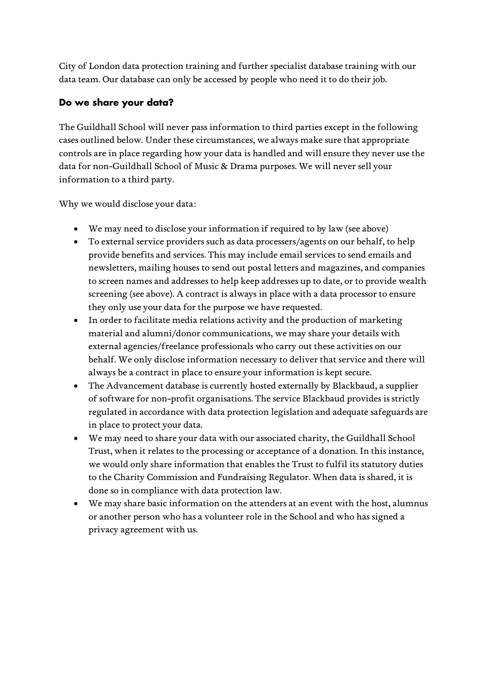City of London data protection training and further specialist database training with our data team. Our database can only be accessed by people who need it to do their job.

## **Do we share your data?**

The Guildhall School will never pass information to third parties except in the following cases outlined below. Under these circumstances, we always make sure that appropriate controls are in place regarding how your data is handled and will ensure they never use the data for non-Guildhall School of Music & Drama purposes. We will never sell your information to a third party.

Why we would disclose your data:

- We may need to disclose your information if required to by law (see above)
- To external service providers such as data processers/agents on our behalf, to help provide benefits and services. This may include email services to send emails and newsletters, mailing houses to send out postal letters and magazines, and companies to screen names and addresses to help keep addresses up to date, or to provide wealth screening (see above). A contract is always in place with a data processor to ensure they only use your data for the purpose we have requested.
- In order to facilitate media relations activity and the production of marketing material and alumni/donor communications, we may share your details with external agencies/freelance professionals who carry out these activities on our behalf. We only disclose information necessary to deliver that service and there will always be a contract in place to ensure your information is kept secure.
- The Advancement database is currently hosted externally by Blackbaud, a supplier of software for non-profit organisations. The service Blackbaud provides is strictly regulated in accordance with data protection legislation and adequate safeguards are in place to protect your data.
- We may need to share your data with our associated charity, the Guildhall School Trust, when it relates to the processing or acceptance of a donation. In this instance, we would only share information that enables the Trust to fulfil its statutory duties to the Charity Commission and Fundraising Regulator. When data is shared, it is done so in compliance with data protection law.
- We may share basic information on the attenders at an event with the host, alumnus or another person who has a volunteer role in the School and who has signed a privacy agreement with us.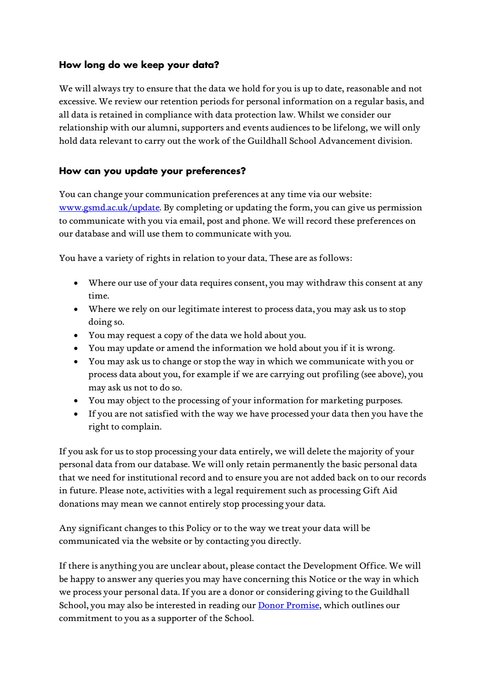## **How long do we keep your data?**

We will always try to ensure that the data we hold for you is up to date, reasonable and not excessive. We review our retention periods for personal information on a regular basis, and all data is retained in compliance with data protection law. Whilst we consider our relationship with our alumni, supporters and events audiences to be lifelong, we will only hold data relevant to carry out the work of the Guildhall School Advancement division.

## **How can you update your preferences?**

You can change your communication preferences at any time via our website: [www.gsmd.ac.uk/update.](http://www.gsmd.ac.uk/update) By completing or updating the form, you can give us permission to communicate with you via email, post and phone. We will record these preferences on our database and will use them to communicate with you.

You have a variety of rights in relation to your data. These are as follows:

- Where our use of your data requires consent, you may withdraw this consent at any time.
- Where we rely on our legitimate interest to process data, you may ask us to stop doing so.
- You may request a copy of the data we hold about you.
- You may update or amend the information we hold about you if it is wrong.
- You may ask us to change or stop the way in which we communicate with you or process data about you, for example if we are carrying out profiling (see above), you may ask us not to do so.
- You may object to the processing of your information for marketing purposes.
- If you are not satisfied with the way we have processed your data then you have the right to complain.

If you ask for us to stop processing your data entirely, we will delete the majority of your personal data from our database. We will only retain permanently the basic personal data that we need for institutional record and to ensure you are not added back on to our records in future. Please note, activities with a legal requirement such as processing Gift Aid donations may mean we cannot entirely stop processing your data.

Any significant changes to this Policy or to the way we treat your data will be communicated via the website or by contacting you directly.

If there is anything you are unclear about, please contact the Development Office. We will be happy to answer any queries you may have concerning this Notice or the way in which we process your personal data. If you are a donor or considering giving to the Guildhall School, you may also be interested in reading our [Donor Promise,](https://www.gsmd.ac.uk/support_the_school/our_supporters/our_donor_promise/) which outlines our commitment to you as a supporter of the School.